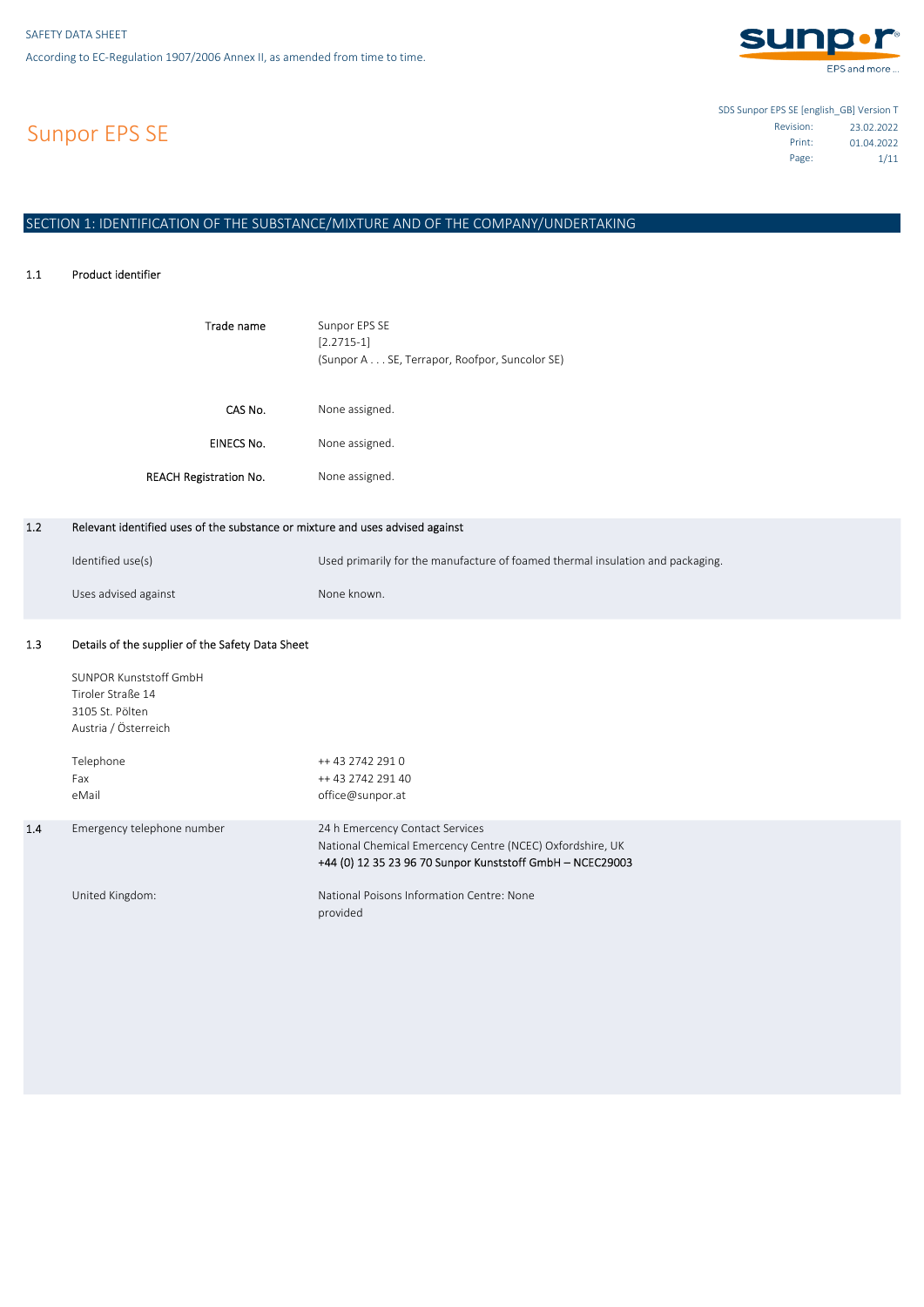

Sunpor EPS SE

SDS Sunpor EPS SE [english\_GB] Version T 23.02.2022 Revision: 01.04.2022 Print: Page: 1/11

# SECTION 1: IDENTIFICATION OF THE SUBSTANCE/MIXTURE AND OF THE COMPANY/UNDERTAKING

#### 1.1 Product identifier

1.2

1.3

| Trade name                                                                    | Sunpor EPS SE<br>$[2.2715-1]$<br>(Sunpor A SE, Terrapor, Roofpor, Suncolor SE) |
|-------------------------------------------------------------------------------|--------------------------------------------------------------------------------|
| CAS No.                                                                       | None assigned.                                                                 |
| EINECS No.                                                                    | None assigned.                                                                 |
| <b>REACH Registration No.</b>                                                 | None assigned.                                                                 |
|                                                                               |                                                                                |
| Relevant identified uses of the substance or mixture and uses advised against |                                                                                |
| Identified use(s)                                                             | Used primarily for the manufacture of foamed thermal insulation and packaging. |
| Uses advised against                                                          | None known.                                                                    |
| Details of the supplier of the Safety Data Sheet                              |                                                                                |

|     | SUNPOR Kunststoff GmbH<br>Tiroler Straße 14<br>3105 St. Pölten<br>Austria / Österreich |                                                                                                                                                           |
|-----|----------------------------------------------------------------------------------------|-----------------------------------------------------------------------------------------------------------------------------------------------------------|
|     | Telephone<br>Fax<br>eMail                                                              | ++ 43 2742 291 0<br>++ 43 2742 291 40<br>office@sunpor.at                                                                                                 |
| 1.4 | Emergency telephone number                                                             | 24 h Emercency Contact Services<br>National Chemical Emercency Centre (NCEC) Oxfordshire, UK<br>+44 (0) 12 35 23 96 70 Sunpor Kunststoff GmbH - NCEC29003 |
|     | United Kingdom:                                                                        | National Poisons Information Centre: None<br>provided                                                                                                     |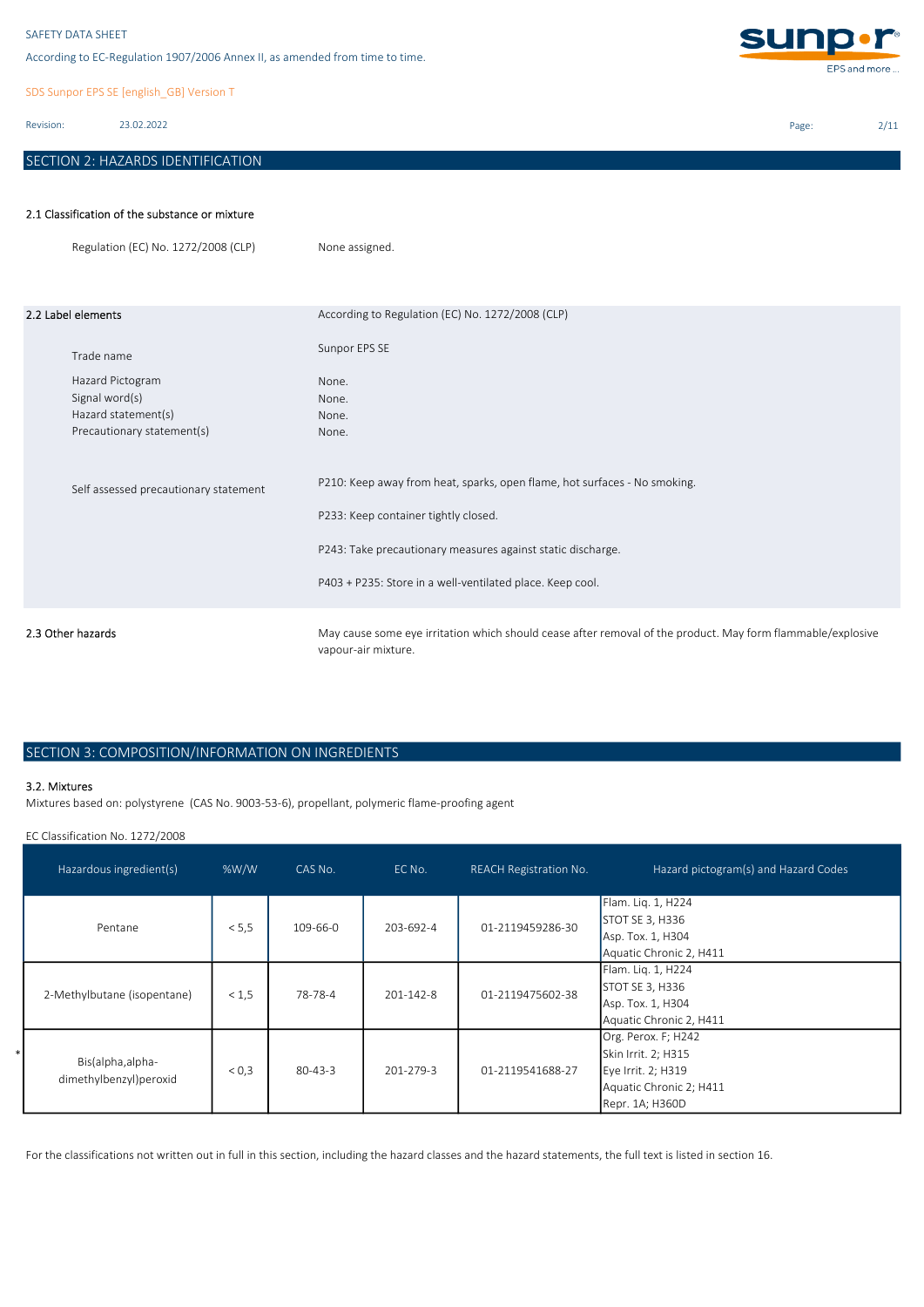According to EC-Regulation 1907/2006 Annex II, as amended from time to time.

SDS Sunpor EPS SE [english\_GB] Version T

Revision: 23.02.2022

# SECTION 2: HAZARDS IDENTIFICATION

**sunp.r** EPS and more ...

Page: 2/11

# 2.1 Classification of the substance or mixture

|                   | Regulation (EC) No. 1272/2008 (CLP)   | None assigned.                                                                                                                                                                                                                                |
|-------------------|---------------------------------------|-----------------------------------------------------------------------------------------------------------------------------------------------------------------------------------------------------------------------------------------------|
|                   | 2.2 Label elements                    | According to Regulation (EC) No. 1272/2008 (CLP)                                                                                                                                                                                              |
|                   | Trade name                            | Sunpor EPS SE                                                                                                                                                                                                                                 |
|                   | Hazard Pictogram                      | None.                                                                                                                                                                                                                                         |
|                   | Signal word(s)                        | None.                                                                                                                                                                                                                                         |
|                   | Hazard statement(s)                   | None.                                                                                                                                                                                                                                         |
|                   | Precautionary statement(s)            | None.                                                                                                                                                                                                                                         |
|                   | Self assessed precautionary statement | P210: Keep away from heat, sparks, open flame, hot surfaces - No smoking.<br>P233: Keep container tightly closed.<br>P243: Take precautionary measures against static discharge.<br>P403 + P235: Store in a well-ventilated place. Keep cool. |
| 2.3 Other hazards |                                       | May cause some eye irritation which should cease after removal of the product. May form flammable/explosive<br>vapour-air mixture.                                                                                                            |

# SECTION 3: COMPOSITION/INFORMATION ON INGREDIENTS

### 3.2. Mixtures

Mixtures based on: polystyrene (CAS No. 9003-53-6), propellant, polymeric flame-proofing agent

EC Classification No. 1272/2008

| Hazardous ingredient(s)                     | %W/W  | CAS No.        | EC No.          | <b>REACH Registration No.</b> | Hazard pictogram(s) and Hazard Codes                                                                           |
|---------------------------------------------|-------|----------------|-----------------|-------------------------------|----------------------------------------------------------------------------------------------------------------|
| Pentane                                     | < 5.5 | $109 - 66 - 0$ | 203-692-4       | 01-2119459286-30              | Flam. Lig. 1, H224<br>STOT SE 3, H336<br>Asp. Tox. 1, H304<br>Aquatic Chronic 2, H411                          |
| 2-Methylbutane (isopentane)                 | < 1.5 | 78-78-4        | $201 - 142 - 8$ | 01-2119475602-38              | Flam. Lig. 1, H224<br>STOT SE 3, H336<br>Asp. Tox. 1, H304<br>Aquatic Chronic 2, H411                          |
| Bis(alpha, alpha-<br>dimethylbenzyl)peroxid | < 0.3 | $80 - 43 - 3$  | $201 - 279 - 3$ | 01-2119541688-27              | Org. Perox. F; H242<br>Skin Irrit. 2; H315<br>Eye Irrit. 2; H319<br>Aquatic Chronic 2; H411<br>Repr. 1A; H360D |

For the classifications not written out in full in this section, including the hazard classes and the hazard statements, the full text is listed in section 16.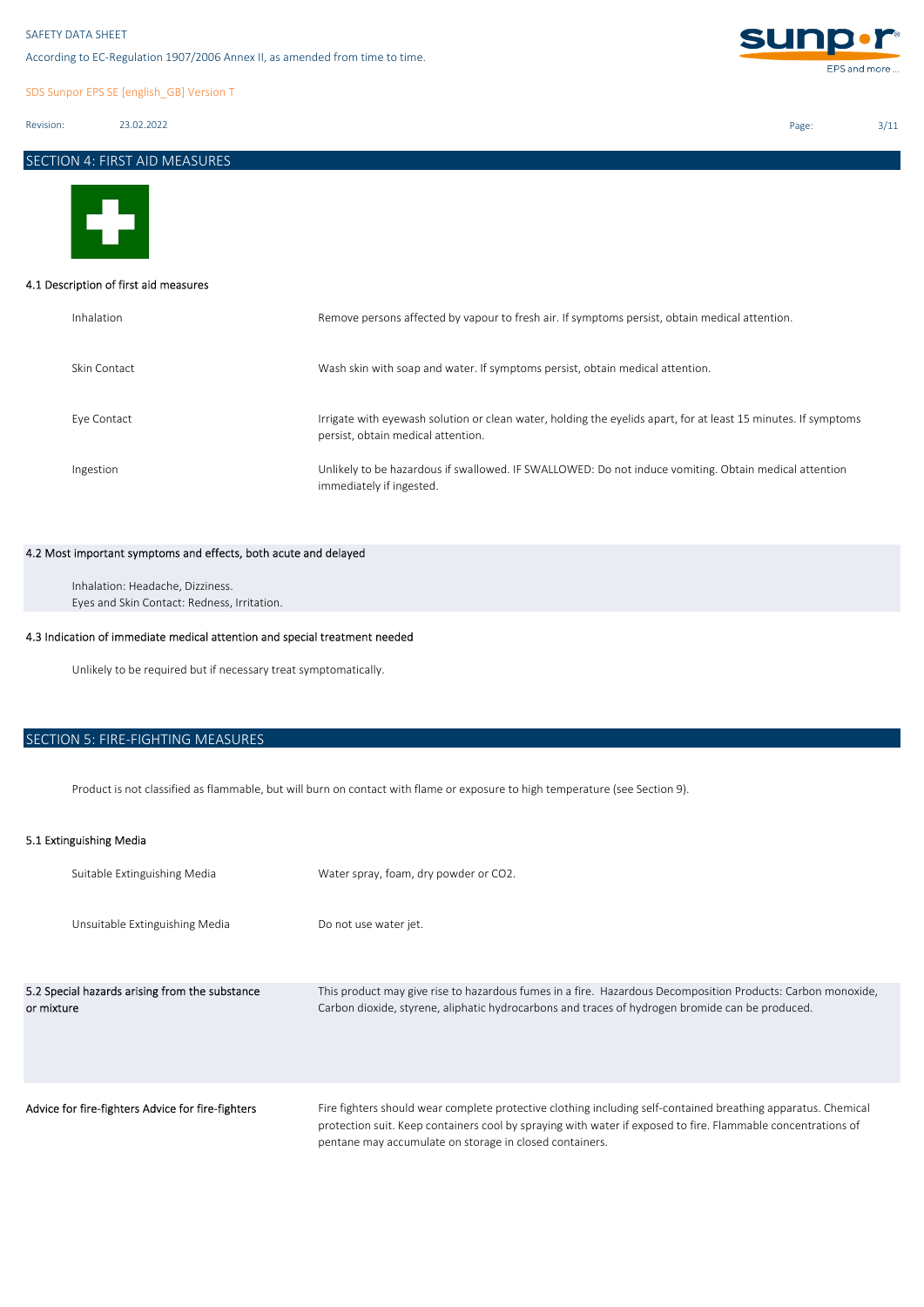According to EC-Regulation 1907/2006 Annex II, as amended from time to time.

SDS Sunpor EPS SE [english\_GB] Version T

Revision: 23.02.2022

SECTION 4: FIRST AID MEASURES



### 4.1 Description of first aid measures

| Inhalation   | Remove persons affected by vapour to fresh air. If symptoms persist, obtain medical attention.                                                       |
|--------------|------------------------------------------------------------------------------------------------------------------------------------------------------|
| Skin Contact | Wash skin with soap and water. If symptoms persist, obtain medical attention.                                                                        |
| Eve Contact  | Irrigate with eyewash solution or clean water, holding the eyelids apart, for at least 15 minutes. If symptoms<br>persist, obtain medical attention. |
| Ingestion    | Unlikely to be hazardous if swallowed. IF SWALLOWED: Do not induce vomiting. Obtain medical attention<br>immediately if ingested.                    |

# 4.2 Most important symptoms and effects, both acute and delayed

Eyes and Skin Contact: Redness, Irritation. Inhalation: Headache, Dizziness.

# 4.3 Indication of immediate medical attention and special treatment needed

Unlikely to be required but if necessary treat symptomatically.

# SECTION 5: FIRE-FIGHTING MEASURES

Product is not classified as flammable, but will burn on contact with flame or exposure to high temperature (see Section 9).

# 5.1 Extinguishing Media

| Suitable Extinguishing Media                                 | Water spray, foam, dry powder or CO2.                                                                                                                                                                                                                                                    |
|--------------------------------------------------------------|------------------------------------------------------------------------------------------------------------------------------------------------------------------------------------------------------------------------------------------------------------------------------------------|
| Unsuitable Extinguishing Media                               | Do not use water jet.                                                                                                                                                                                                                                                                    |
| 5.2 Special hazards arising from the substance<br>or mixture | This product may give rise to hazardous fumes in a fire. Hazardous Decomposition Products: Carbon monoxide,<br>Carbon dioxide, styrene, aliphatic hydrocarbons and traces of hydrogen bromide can be produced.                                                                           |
| Advice for fire-fighters Advice for fire-fighters            | Fire fighters should wear complete protective clothing including self-contained breathing apparatus. Chemical<br>protection suit. Keep containers cool by spraying with water if exposed to fire. Flammable concentrations of<br>pentane may accumulate on storage in closed containers. |



Page: 3/11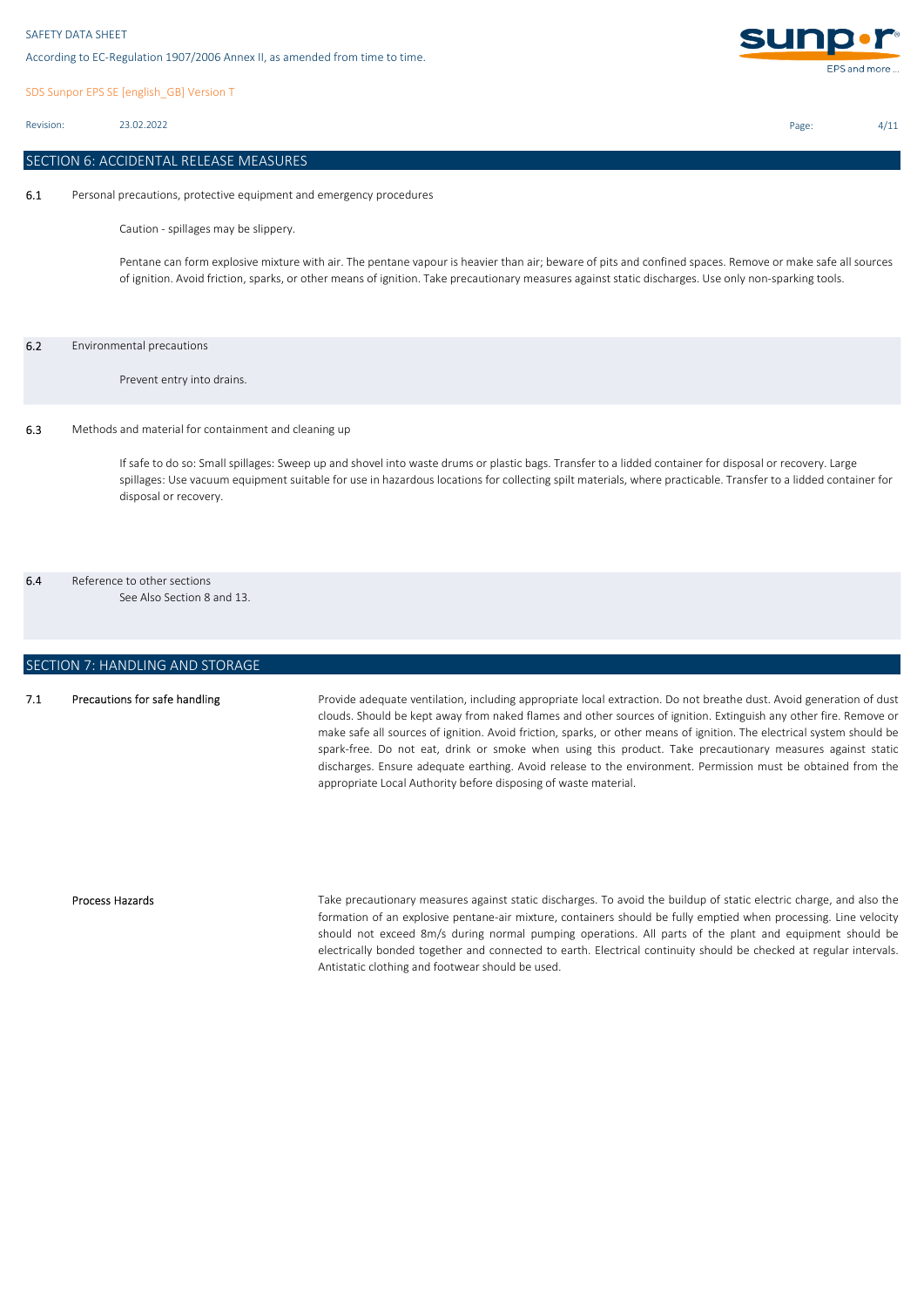SDS Sunpor EPS SE [english\_GB] Version T

Revision: 23.02.2022

# SECTION 6: ACCIDENTAL RELEASE MEASURES

6.1 Personal precautions, protective equipment and emergency procedures

Caution - spillages may be slippery.

Pentane can form explosive mixture with air. The pentane vapour is heavier than air; beware of pits and confined spaces. Remove or make safe all sources of ignition. Avoid friction, sparks, or other means of ignition. Take precautionary measures against static discharges. Use only non-sparking tools.

### 6.2 Environmental precautions

Prevent entry into drains.

### 6.3 Methods and material for containment and cleaning up

If safe to do so: Small spillages: Sweep up and shovel into waste drums or plastic bags. Transfer to a lidded container for disposal or recovery. Large spillages: Use vacuum equipment suitable for use in hazardous locations for collecting spilt materials, where practicable. Transfer to a lidded container for disposal or recovery.

# 6.4 Reference to other sections

See Also Section 8 and 13.

# SECTION 7: HANDLING AND STORAGE

#### 7.1 Precautions for safe handling

Provide adequate ventilation, including appropriate local extraction. Do not breathe dust. Avoid generation of dust clouds. Should be kept away from naked flames and other sources of ignition. Extinguish any other fire. Remove or make safe all sources of ignition. Avoid friction, sparks, or other means of ignition. The electrical system should be spark-free. Do not eat, drink or smoke when using this product. Take precautionary measures against static discharges. Ensure adequate earthing. Avoid release to the environment. Permission must be obtained from the appropriate Local Authority before disposing of waste material.

#### Process Hazards

Take precautionary measures against static discharges. To avoid the buildup of static electric charge, and also the formation of an explosive pentane-air mixture, containers should be fully emptied when processing. Line velocity should not exceed 8m/s during normal pumping operations. All parts of the plant and equipment should be electrically bonded together and connected to earth. Electrical continuity should be checked at regular intervals. Antistatic clothing and footwear should be used.



Page: 4/11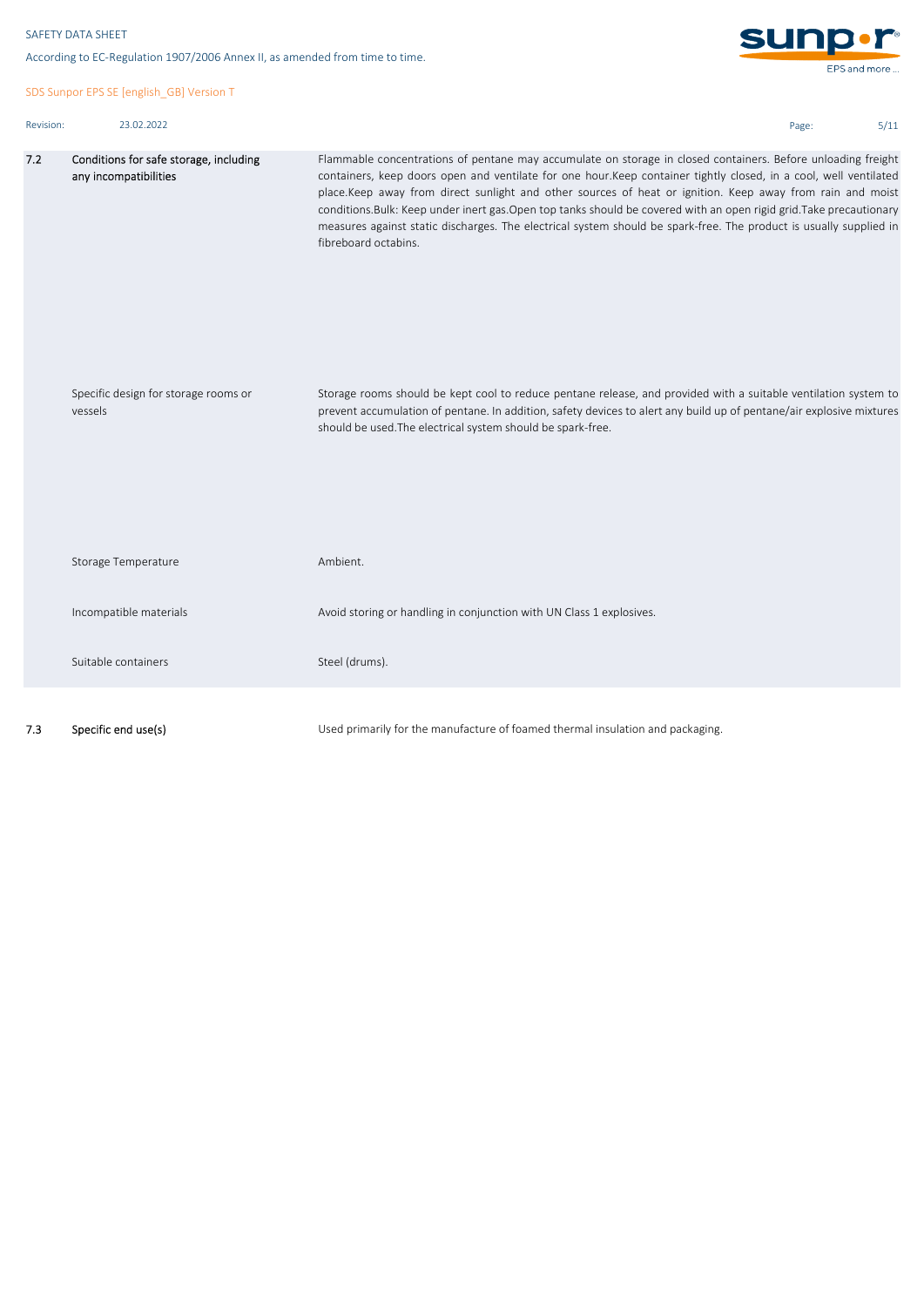According to EC-Regulation 1907/2006 Annex II, as amended from time to time.

SDS Sunpor EPS SE [english\_GB] Version T

| Revision: | 23.02.2022 |
|-----------|------------|



Page: 5/11

| 7.2 | Conditions for safe storage, including<br>any incompatibilities | Flammable concentrations of pentane may accumulate on storage in closed containers. Before unloading freight<br>containers, keep doors open and ventilate for one hour.Keep container tightly closed, in a cool, well ventilated<br>place.Keep away from direct sunlight and other sources of heat or ignition. Keep away from rain and moist<br>conditions. Bulk: Keep under inert gas. Open top tanks should be covered with an open rigid grid. Take precautionary<br>measures against static discharges. The electrical system should be spark-free. The product is usually supplied in<br>fibreboard octabins. |
|-----|-----------------------------------------------------------------|---------------------------------------------------------------------------------------------------------------------------------------------------------------------------------------------------------------------------------------------------------------------------------------------------------------------------------------------------------------------------------------------------------------------------------------------------------------------------------------------------------------------------------------------------------------------------------------------------------------------|
|     | Specific design for storage rooms or<br>vessels                 | Storage rooms should be kept cool to reduce pentane release, and provided with a suitable ventilation system to<br>prevent accumulation of pentane. In addition, safety devices to alert any build up of pentane/air explosive mixtures<br>should be used. The electrical system should be spark-free.                                                                                                                                                                                                                                                                                                              |
|     | Storage Temperature                                             | Ambient.                                                                                                                                                                                                                                                                                                                                                                                                                                                                                                                                                                                                            |
|     | Incompatible materials                                          | Avoid storing or handling in conjunction with UN Class 1 explosives.                                                                                                                                                                                                                                                                                                                                                                                                                                                                                                                                                |
|     | Suitable containers                                             | Steel (drums).                                                                                                                                                                                                                                                                                                                                                                                                                                                                                                                                                                                                      |
|     |                                                                 |                                                                                                                                                                                                                                                                                                                                                                                                                                                                                                                                                                                                                     |

7.3 Specific end use(s)

Used primarily for the manufacture of foamed thermal insulation and packaging.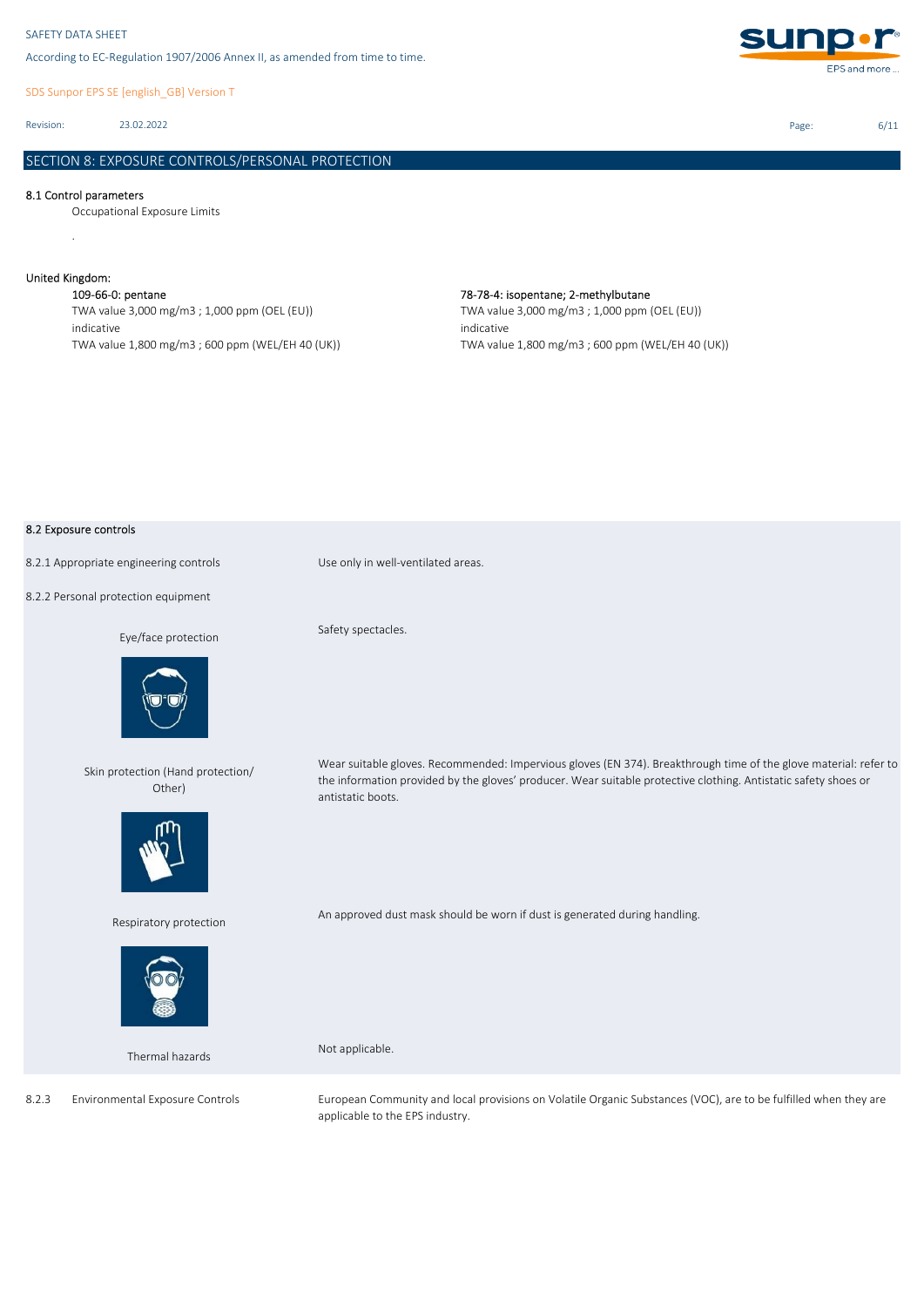SDS Sunpor EPS SE [english\_GB] Version T

Revision: 23.02.2022

# SECTION 8: EXPOSURE CONTROLS/PERSONAL PROTECTION

### 8.1 Control parameters

Occupational Exposure Limits

# United Kingdom:

.

109-66-0: pentane 78-78-4: isopentane; 2-methylbutane TWA value 3,000 mg/m3 ; 1,000 ppm (OEL (EU)) indicative TWA value 1,800 mg/m3 ; 600 ppm (WEL/EH 40 (UK))

# TWA value 3,000 mg/m3 ; 1,000 ppm (OEL (EU)) indicative

TWA value 1,800 mg/m3 ; 600 ppm (WEL/EH 40 (UK))

### 8.2 Exposure controls

8.2.1 Appropriate engineering controls Use only in well-ventilated areas.

8.2.2 Personal protection equipment

### Eye/face protection



Skin protection (Hand protection/ Other)



Respiratory protection



Thermal hazards

Safety spectacles.

Wear suitable gloves. Recommended: Impervious gloves (EN 374). Breakthrough time of the glove material: refer to the information provided by the gloves' producer. Wear suitable protective clothing. Antistatic safety shoes or antistatic boots.

An approved dust mask should be worn if dust is generated during handling.

Not applicable.

European Community and local provisions on Volatile Organic Substances (VOC), are to be fulfilled when they are applicable to the EPS industry.

Page: 6/11



8.2.3 Environmental Exposure Controls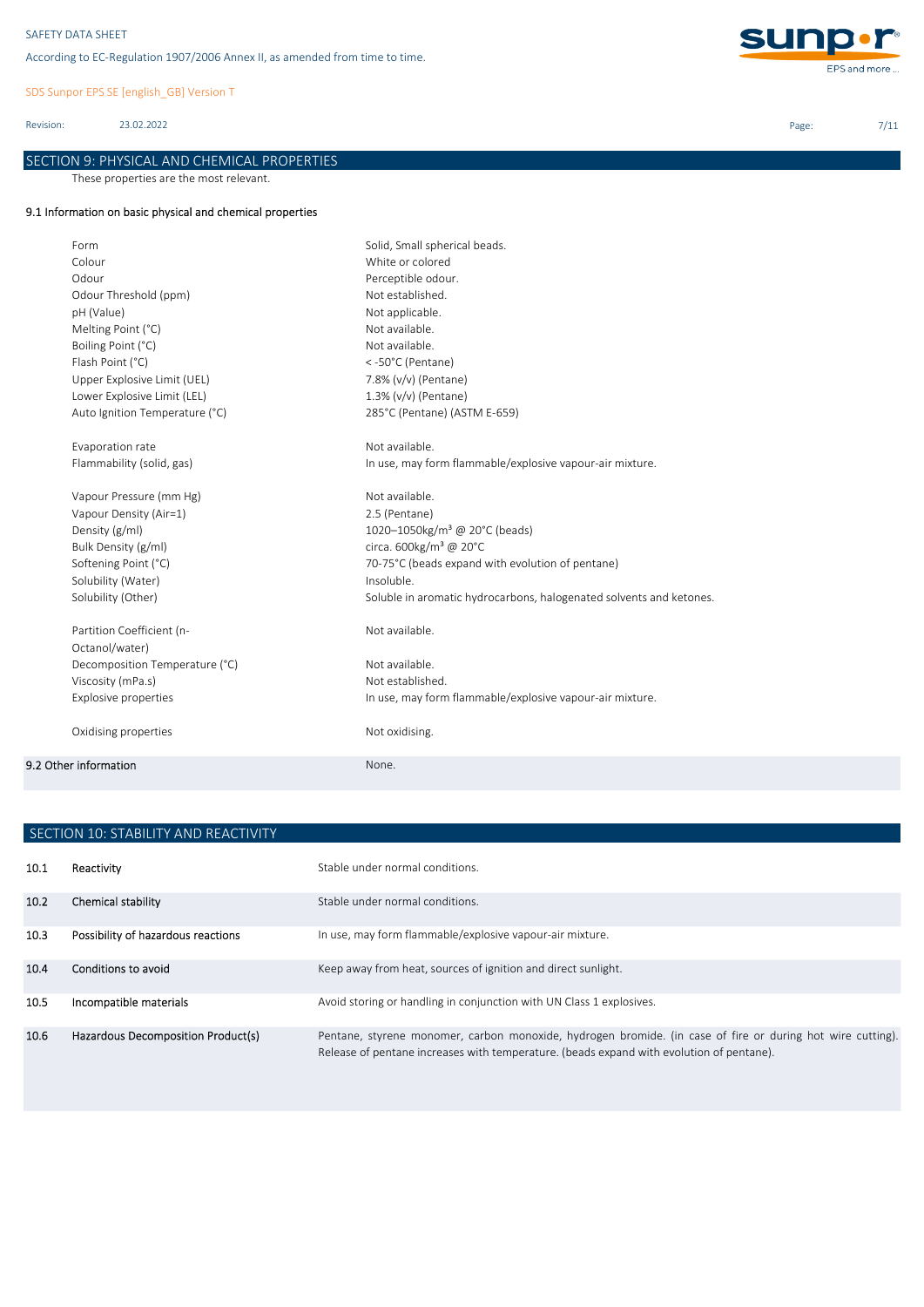SDS Sunpor EPS SE [english\_GB] Version T

Revision: 23.02.2022

# SECTION 9: PHYSICAL AND CHEMICAL PROPERTIES

These properties are the most relevant.

# 9.1 Information on basic physical and chemical properties

| Form                           | Solid, Small spherical beads.                                       |
|--------------------------------|---------------------------------------------------------------------|
| Colour                         | White or colored                                                    |
| Odour                          | Perceptible odour.                                                  |
| Odour Threshold (ppm)          | Not established.                                                    |
| pH (Value)                     | Not applicable.                                                     |
| Melting Point (°C)             | Not available.                                                      |
| Boiling Point (°C)             | Not available.                                                      |
| Flash Point (°C)               | <-50°C (Pentane)                                                    |
| Upper Explosive Limit (UEL)    | 7.8% (v/v) (Pentane)                                                |
| Lower Explosive Limit (LEL)    | 1.3% (v/v) (Pentane)                                                |
| Auto Ignition Temperature (°C) | 285°C (Pentane) (ASTM E-659)                                        |
| Evaporation rate               | Not available.                                                      |
| Flammability (solid, gas)      | In use, may form flammable/explosive vapour-air mixture.            |
| Vapour Pressure (mm Hg)        | Not available.                                                      |
| Vapour Density (Air=1)         | 2.5 (Pentane)                                                       |
| Density (g/ml)                 | 1020-1050kg/m <sup>3</sup> @ 20°C (beads)                           |
| Bulk Density (g/ml)            | circa. 600kg/m <sup>3</sup> @ 20°C                                  |
| Softening Point (°C)           | 70-75°C (beads expand with evolution of pentane)                    |
| Solubility (Water)             | Insoluble.                                                          |
| Solubility (Other)             | Soluble in aromatic hydrocarbons, halogenated solvents and ketones. |
| Partition Coefficient (n-      | Not available.                                                      |
| Octanol/water)                 |                                                                     |
| Decomposition Temperature (°C) | Not available.                                                      |
| Viscosity (mPa.s)              | Not established.                                                    |
| <b>Explosive properties</b>    | In use, may form flammable/explosive vapour-air mixture.            |
| Oxidising properties           | Not oxidising.                                                      |
| 9.2 Other information          | None.                                                               |
|                                |                                                                     |

|      | SECTION 10: STABILITY AND REACTIVITY |                                                                                                                                                                                                        |  |  |  |
|------|--------------------------------------|--------------------------------------------------------------------------------------------------------------------------------------------------------------------------------------------------------|--|--|--|
| 10.1 | Reactivity                           | Stable under normal conditions.                                                                                                                                                                        |  |  |  |
| 10.2 | Chemical stability                   | Stable under normal conditions.                                                                                                                                                                        |  |  |  |
| 10.3 | Possibility of hazardous reactions   | In use, may form flammable/explosive vapour-air mixture.                                                                                                                                               |  |  |  |
| 10.4 | Conditions to avoid                  | Keep away from heat, sources of ignition and direct sunlight.                                                                                                                                          |  |  |  |
| 10.5 | Incompatible materials               | Avoid storing or handling in conjunction with UN Class 1 explosives.                                                                                                                                   |  |  |  |
| 10.6 | Hazardous Decomposition Product(s)   | Pentane, styrene monomer, carbon monoxide, hydrogen bromide. (in case of fire or during hot wire cutting).<br>Release of pentane increases with temperature. (beads expand with evolution of pentane). |  |  |  |



Page: 7/11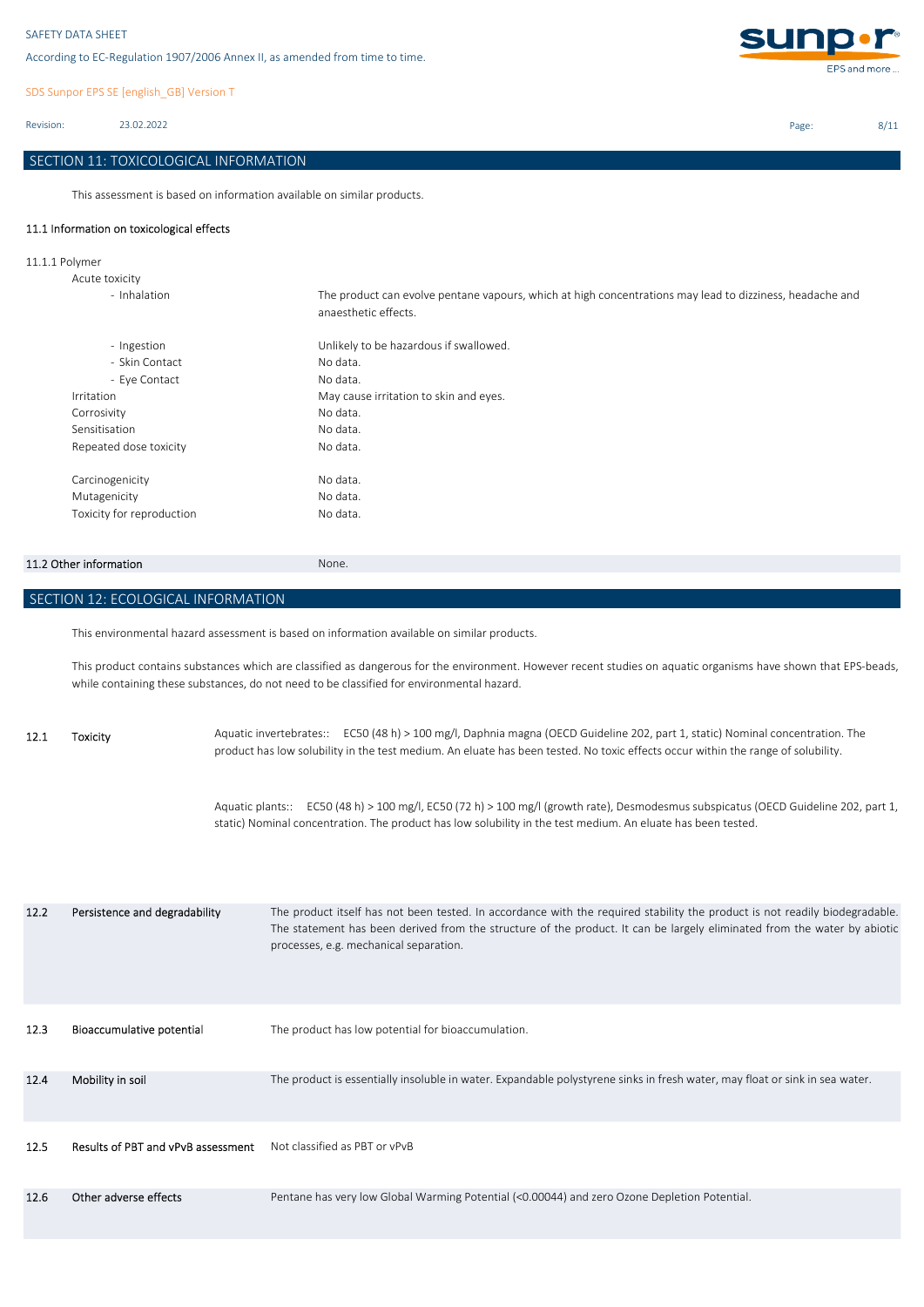SDS Sunpor EPS SE [english\_GB] Version T

Revision: 23.02.2022

# SECTION 11: TOXICOLOGICAL INFORMATION

This assessment is based on information available on similar products.

# 11.1 Information on toxicological effects

11.1.1 Polymer

| The product can evolve pentane vapours, which at high concentrations may lead to dizziness, headache and<br>anaesthetic effects. |
|----------------------------------------------------------------------------------------------------------------------------------|
| Unlikely to be hazardous if swallowed.                                                                                           |
| No data.                                                                                                                         |
| No data.                                                                                                                         |
| May cause irritation to skin and eyes.                                                                                           |
| No data.                                                                                                                         |
| No data.                                                                                                                         |
| No data.                                                                                                                         |
| No data.                                                                                                                         |
| No data.                                                                                                                         |
| No data.                                                                                                                         |
|                                                                                                                                  |

## 11.2 Other information None.

SECTION 12: ECOLOGICAL INFORMATION

This environmental hazard assessment is based on information available on similar products.

This product contains substances which are classified as dangerous for the environment. However recent studies on aquatic organisms have shown that EPS-beads, while containing these substances, do not need to be classified for environmental hazard.

12.1 Toxicity Aquatic invertebrates:: EC50 (48 h) > 100 mg/l, Daphnia magna (OECD Guideline 202, part 1, static) Nominal concentration. The product has low solubility in the test medium. An eluate has been tested. No toxic effects occur within the range of solubility.

> Aquatic plants:: EC50 (48 h) > 100 mg/l, EC50 (72 h) > 100 mg/l (growth rate), Desmodesmus subspicatus (OECD Guideline 202, part 1, static) Nominal concentration. The product has low solubility in the test medium. An eluate has been tested.

| 12.2 | Persistence and degradability      | The product itself has not been tested. In accordance with the required stability the product is not readily biodegradable.<br>The statement has been derived from the structure of the product. It can be largely eliminated from the water by abiotic<br>processes, e.g. mechanical separation. |
|------|------------------------------------|---------------------------------------------------------------------------------------------------------------------------------------------------------------------------------------------------------------------------------------------------------------------------------------------------|
| 12.3 | Bioaccumulative potential          | The product has low potential for bioaccumulation.                                                                                                                                                                                                                                                |
| 12.4 | Mobility in soil                   | The product is essentially insoluble in water. Expandable polystyrene sinks in fresh water, may float or sink in sea water.                                                                                                                                                                       |
| 12.5 | Results of PBT and vPvB assessment | Not classified as PBT or vPvB                                                                                                                                                                                                                                                                     |
| 12.6 | Other adverse effects              | Pentane has very low Global Warming Potential (<0.00044) and zero Ozone Depletion Potential.                                                                                                                                                                                                      |



Page: 8/11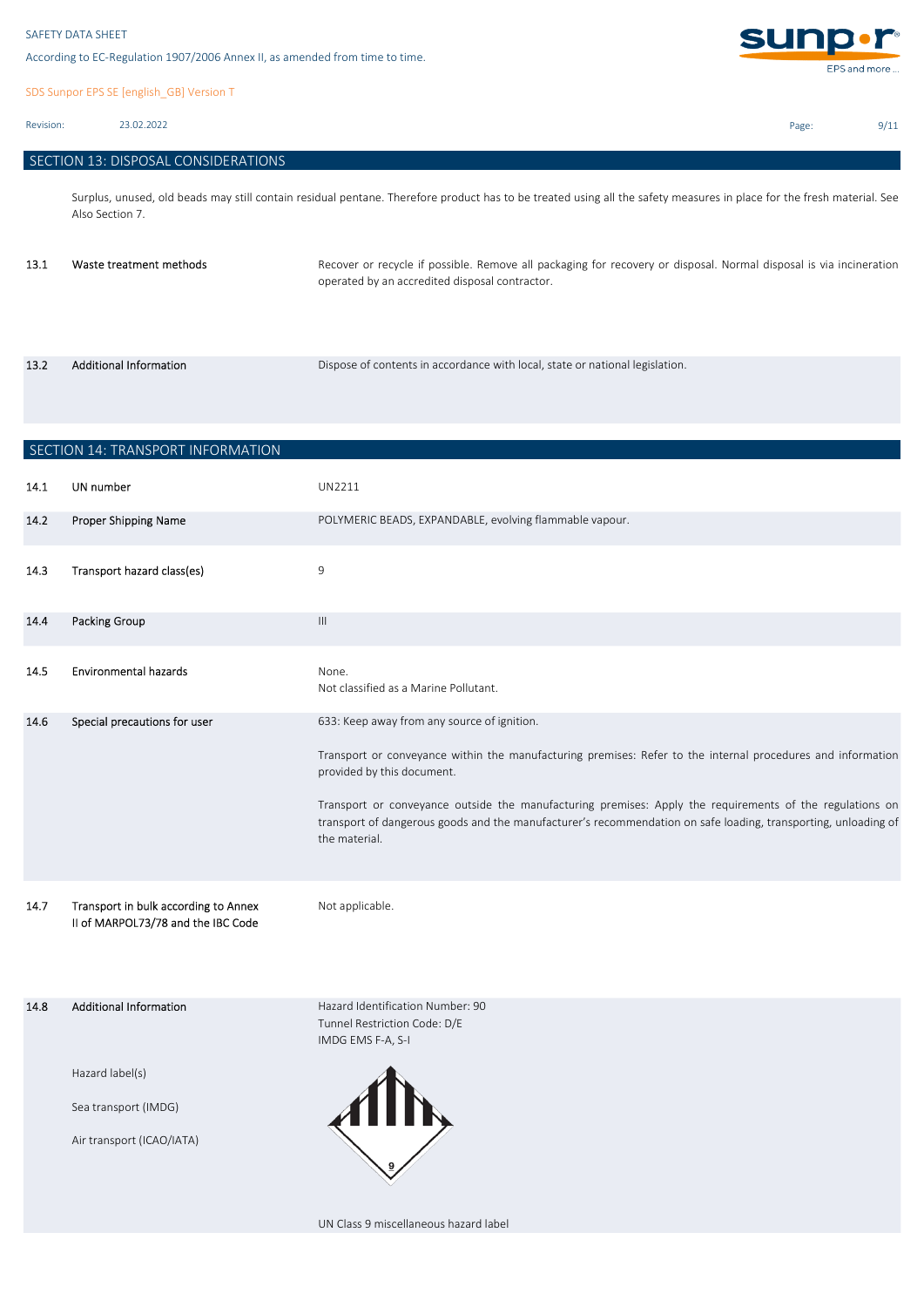SDS Sunpor EPS SE [english\_GB] Version T

Revision: 23.02.2022

| SECTION 13: DISPOSAL CONSIDERATIONS |  |  |  |
|-------------------------------------|--|--|--|
|-------------------------------------|--|--|--|

Surplus, unused, old beads may still contain residual pentane. Therefore product has to be treated using all the safety measures in place for the fresh material. See Also Section 7.

| 13.1 | Waste treatment methods | Recover or recycle if possible. Remove all packaging for recovery or disposal. Normal disposal is via incineration<br>operated by an accredited disposal contractor. |
|------|-------------------------|----------------------------------------------------------------------------------------------------------------------------------------------------------------------|
|      |                         |                                                                                                                                                                      |

| 13.2 | <b>Additional Information</b> | Dispose of contents in accordance with local, state or national legislation. |
|------|-------------------------------|------------------------------------------------------------------------------|
|      |                               |                                                                              |

| SECTION 14: TRANSPORT INFORMATION |                                                                            |                                                                                                                                                                                                                                             |
|-----------------------------------|----------------------------------------------------------------------------|---------------------------------------------------------------------------------------------------------------------------------------------------------------------------------------------------------------------------------------------|
| 14.1                              | UN number                                                                  | UN2211                                                                                                                                                                                                                                      |
| 14.2                              | Proper Shipping Name                                                       | POLYMERIC BEADS, EXPANDABLE, evolving flammable vapour.                                                                                                                                                                                     |
| 14.3                              | Transport hazard class(es)                                                 | $9\,$                                                                                                                                                                                                                                       |
| 14.4                              | <b>Packing Group</b>                                                       | $\ensuremath{\mathsf{III}}\xspace$                                                                                                                                                                                                          |
| 14.5                              | <b>Environmental hazards</b>                                               | None.<br>Not classified as a Marine Pollutant.                                                                                                                                                                                              |
| 14.6                              | Special precautions for user                                               | 633: Keep away from any source of ignition.                                                                                                                                                                                                 |
|                                   |                                                                            | Transport or conveyance within the manufacturing premises: Refer to the internal procedures and information<br>provided by this document.                                                                                                   |
|                                   |                                                                            | Transport or conveyance outside the manufacturing premises: Apply the requirements of the regulations on<br>transport of dangerous goods and the manufacturer's recommendation on safe loading, transporting, unloading of<br>the material. |
| 14.7                              | Transport in bulk according to Annex<br>II of MARPOL73/78 and the IBC Code | Not applicable.                                                                                                                                                                                                                             |
| 14.8                              | <b>Additional Information</b>                                              | Hazard Identification Number: 90<br>Tunnel Restriction Code: D/E<br>IMDG EMS F-A, S-I                                                                                                                                                       |
|                                   | Hazard label(s)                                                            |                                                                                                                                                                                                                                             |
|                                   | Sea transport (IMDG)                                                       |                                                                                                                                                                                                                                             |
|                                   | Air transport (ICAO/IATA)                                                  | $\begin{smallmatrix} \blacksquare \blacksquare \blacksquare \blacksquare \blacksquare \end{smallmatrix}$                                                                                                                                    |

UN Class 9 miscellaneous hazard label



Page: 9/11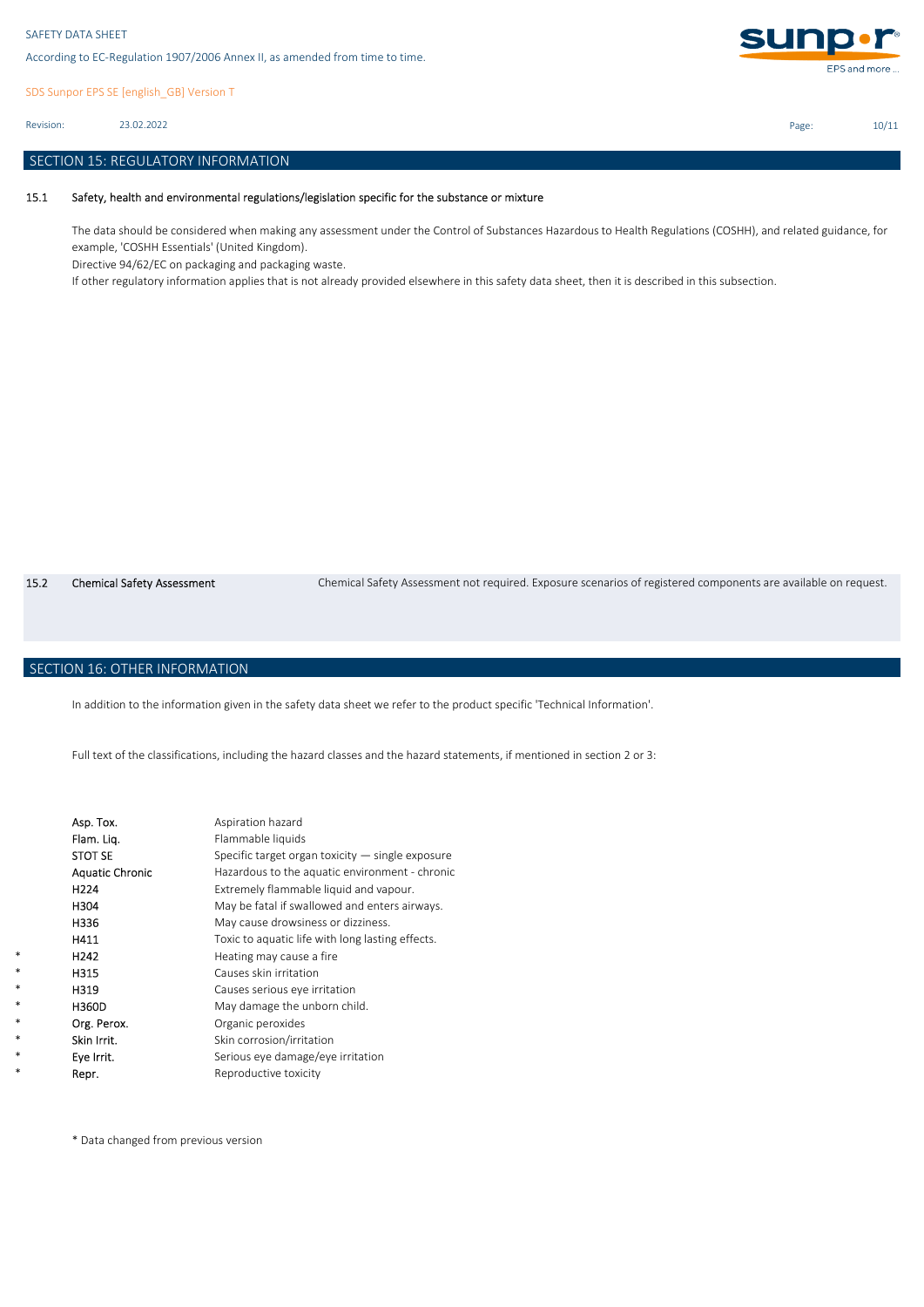SDS Sunpor EPS SE [english\_GB] Version T

23.02.2022 Revision:

## SECTION 15: REGULATORY INFORMATION

#### 15.1 Safety, health and environmental regulations/legislation specific for the substance or mixture

The data should be considered when making any assessment under the Control of Substances Hazardous to Health Regulations (COSHH), and related guidance, for example, 'COSHH Essentials' (United Kingdom).

Directive 94/62/EC on packaging and packaging waste.

If other regulatory information applies that is not already provided elsewhere in this safety data sheet, then it is described in this subsection.

15.2 Chemical Safety Assessment Chemical Safety Assessment not required. Exposure scenarios of registered components are available on request.

# SECTION 16: OTHER INFORMATION

\* \* \* \* \* \* \* \* In addition to the information given in the safety data sheet we refer to the product specific 'Technical Information'.

Full text of the classifications, including the hazard classes and the hazard statements, if mentioned in section 2 or 3:

| Asp. Tox.              | Aspiration hazard                                  |
|------------------------|----------------------------------------------------|
| Flam. Lig.             | Flammable liquids                                  |
| <b>STOT SE</b>         | Specific target organ toxicity $-$ single exposure |
| <b>Aquatic Chronic</b> | Hazardous to the aquatic environment - chronic     |
| H224                   | Extremely flammable liquid and vapour.             |
| H304                   | May be fatal if swallowed and enters airways.      |
| H336                   | May cause drowsiness or dizziness.                 |
| H411                   | Toxic to aquatic life with long lasting effects.   |
| H <sub>242</sub>       | Heating may cause a fire                           |
| H315                   | Causes skin irritation                             |
| H319                   | Causes serious eye irritation                      |
| H360D                  | May damage the unborn child.                       |
| Org. Perox.            | Organic peroxides                                  |
| Skin Irrit.            | Skin corrosion/irritation                          |
| Eye Irrit.             | Serious eye damage/eye irritation                  |
| Repr.                  | Reproductive toxicity                              |

\* Data changed from previous version



Page: 10/11